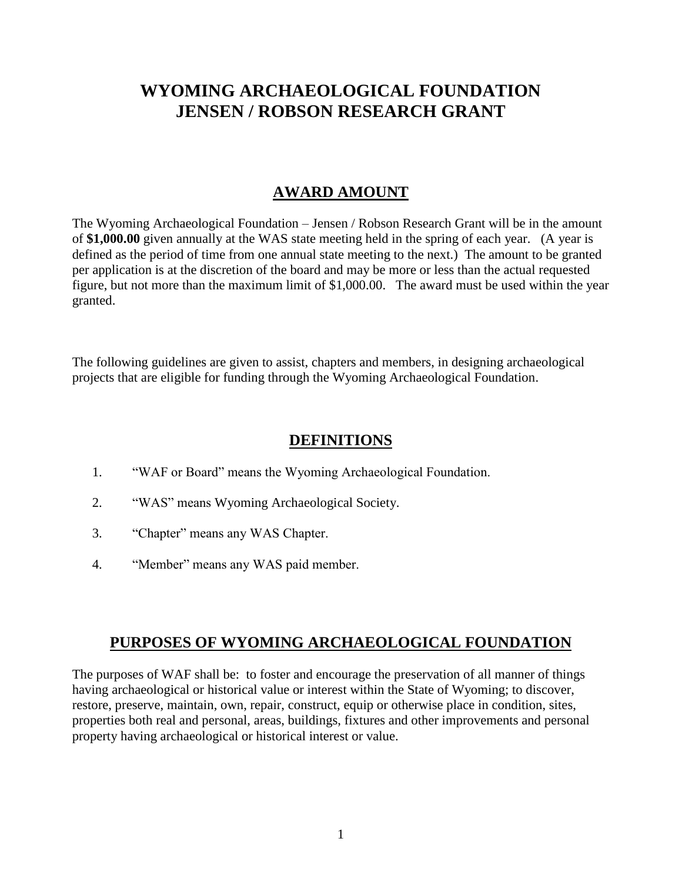# **WYOMING ARCHAEOLOGICAL FOUNDATION JENSEN / ROBSON RESEARCH GRANT**

## **AWARD AMOUNT**

The Wyoming Archaeological Foundation – Jensen / Robson Research Grant will be in the amount of **\$1,000.00** given annually at the WAS state meeting held in the spring of each year. (A year is defined as the period of time from one annual state meeting to the next.) The amount to be granted per application is at the discretion of the board and may be more or less than the actual requested figure, but not more than the maximum limit of \$1,000.00. The award must be used within the year granted.

The following guidelines are given to assist, chapters and members, in designing archaeological projects that are eligible for funding through the Wyoming Archaeological Foundation.

#### **DEFINITIONS**

- 1. "WAF or Board" means the Wyoming Archaeological Foundation.
- 2. "WAS" means Wyoming Archaeological Society.
- 3. "Chapter" means any WAS Chapter.
- 4. "Member" means any WAS paid member.

#### **PURPOSES OF WYOMING ARCHAEOLOGICAL FOUNDATION**

The purposes of WAF shall be: to foster and encourage the preservation of all manner of things having archaeological or historical value or interest within the State of Wyoming; to discover, restore, preserve, maintain, own, repair, construct, equip or otherwise place in condition, sites, properties both real and personal, areas, buildings, fixtures and other improvements and personal property having archaeological or historical interest or value.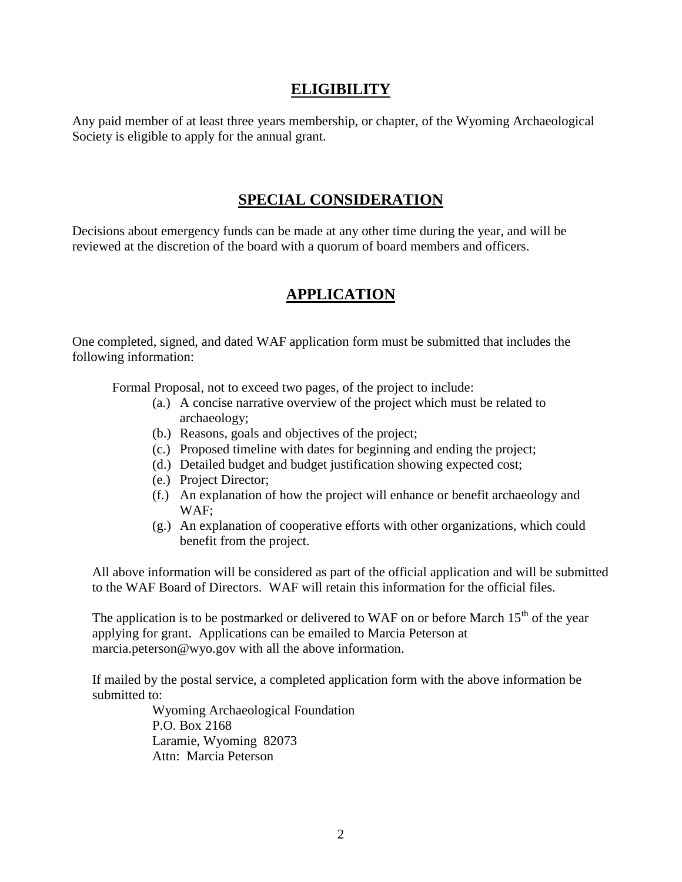#### **ELIGIBILITY**

Any paid member of at least three years membership, or chapter, of the Wyoming Archaeological Society is eligible to apply for the annual grant.

#### **SPECIAL CONSIDERATION**

Decisions about emergency funds can be made at any other time during the year, and will be reviewed at the discretion of the board with a quorum of board members and officers.

## **APPLICATION**

One completed, signed, and dated WAF application form must be submitted that includes the following information:

Formal Proposal, not to exceed two pages, of the project to include:

- (a.) A concise narrative overview of the project which must be related to archaeology;
- (b.) Reasons, goals and objectives of the project;
- (c.) Proposed timeline with dates for beginning and ending the project;
- (d.) Detailed budget and budget justification showing expected cost;
- (e.) Project Director;
- (f.) An explanation of how the project will enhance or benefit archaeology and WAF;
- (g.) An explanation of cooperative efforts with other organizations, which could benefit from the project.

All above information will be considered as part of the official application and will be submitted to the WAF Board of Directors. WAF will retain this information for the official files.

The application is to be postmarked or delivered to WAF on or before March  $15<sup>th</sup>$  of the year applying for grant. Applications can be emailed to Marcia Peterson at marcia.peterson@wyo.gov with all the above information.

If mailed by the postal service, a completed application form with the above information be submitted to:

> Wyoming Archaeological Foundation P.O. Box 2168 Laramie, Wyoming 82073 Attn: Marcia Peterson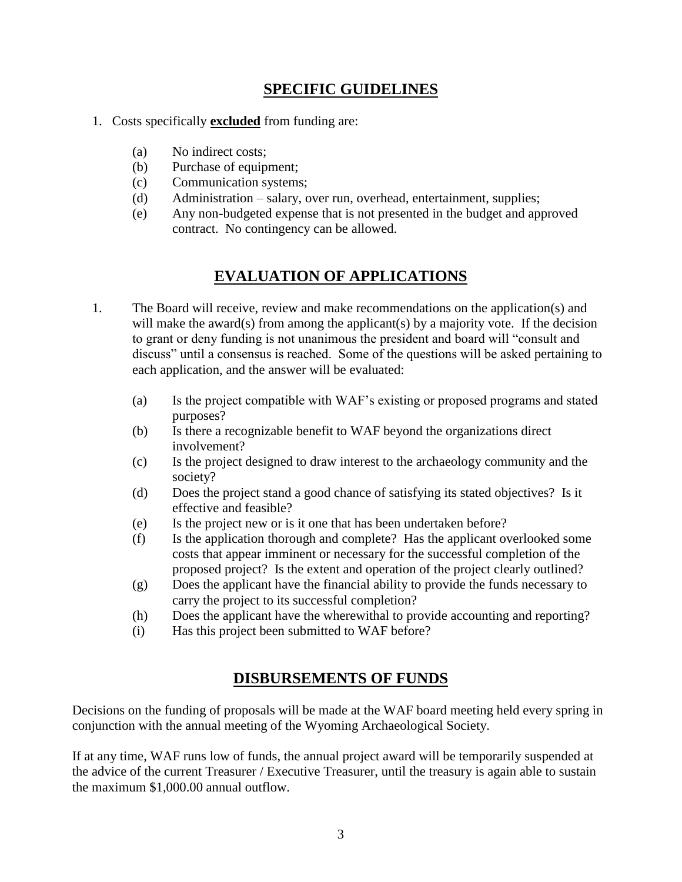## **SPECIFIC GUIDELINES**

- 1. Costs specifically **excluded** from funding are:
	- (a) No indirect costs;
	- (b) Purchase of equipment;
	- (c) Communication systems;
	- (d) Administration salary, over run, overhead, entertainment, supplies;
	- (e) Any non-budgeted expense that is not presented in the budget and approved contract. No contingency can be allowed.

## **EVALUATION OF APPLICATIONS**

- 1. The Board will receive, review and make recommendations on the application(s) and will make the award(s) from among the applicant(s) by a majority vote. If the decision to grant or deny funding is not unanimous the president and board will "consult and discuss" until a consensus is reached. Some of the questions will be asked pertaining to each application, and the answer will be evaluated:
	- (a) Is the project compatible with WAF's existing or proposed programs and stated purposes?
	- (b) Is there a recognizable benefit to WAF beyond the organizations direct involvement?
	- (c) Is the project designed to draw interest to the archaeology community and the society?
	- (d) Does the project stand a good chance of satisfying its stated objectives? Is it effective and feasible?
	- (e) Is the project new or is it one that has been undertaken before?
	- (f) Is the application thorough and complete? Has the applicant overlooked some costs that appear imminent or necessary for the successful completion of the proposed project? Is the extent and operation of the project clearly outlined?
	- (g) Does the applicant have the financial ability to provide the funds necessary to carry the project to its successful completion?
	- (h) Does the applicant have the wherewithal to provide accounting and reporting?
	- (i) Has this project been submitted to WAF before?

## **DISBURSEMENTS OF FUNDS**

Decisions on the funding of proposals will be made at the WAF board meeting held every spring in conjunction with the annual meeting of the Wyoming Archaeological Society.

If at any time, WAF runs low of funds, the annual project award will be temporarily suspended at the advice of the current Treasurer / Executive Treasurer, until the treasury is again able to sustain the maximum \$1,000.00 annual outflow.